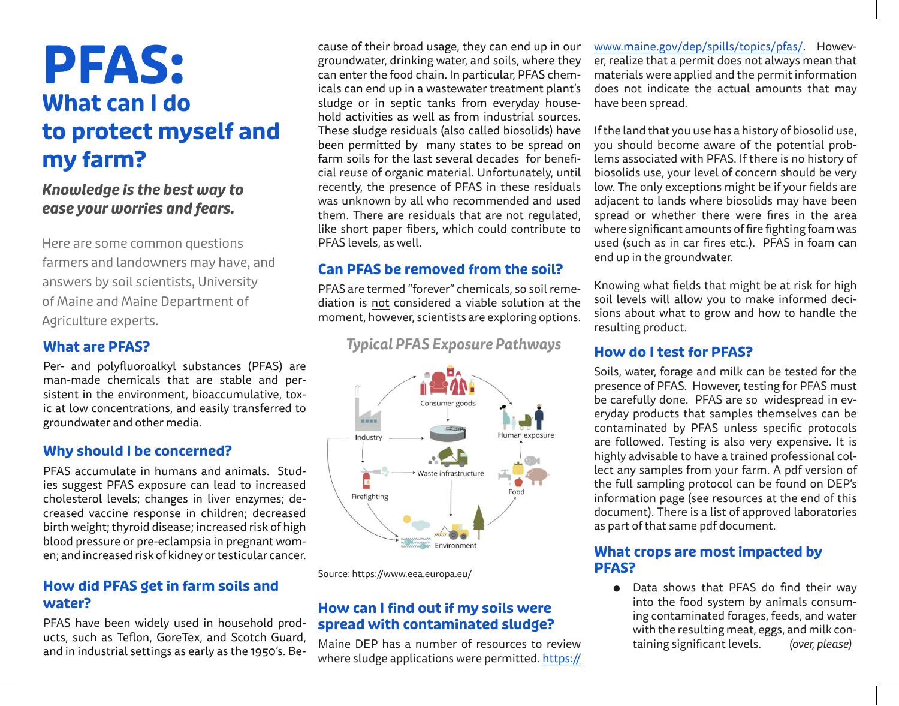# **PFAS: What can I do to protect myself and my farm?**

*Knowledge is the best way to ease your worries and fears.*

Here are some common questions farmers and landowners may have, and answers by soil scientists, University of Maine and Maine Department of Agriculture experts.

#### **What are PFAS?**

Per- and polyfluoroalkyl substances (PFAS) are man-made chemicals that are stable and persistent in the environment, bioaccumulative, toxic at low concentrations, and easily transferred to groundwater and other media.

# **Why should I be concerned?**

PFAS accumulate in humans and animals. Studies suggest PFAS exposure can lead to increased cholesterol levels; changes in liver enzymes; decreased vaccine response in children; decreased birth weight; thyroid disease; increased risk of high blood pressure or pre-eclampsia in pregnant women; and increased risk of kidney or testicular cancer.

# **How did PFAS get in farm soils and water?**

PFAS have been widely used in household products, such as Teflon, GoreTex, and Scotch Guard, and in industrial settings as early as the 1950's. Because of their broad usage, they can end up in our groundwater, drinking water, and soils, where they can enter the food chain. In particular, PFAS chemicals can end up in a wastewater treatment plant's sludge or in septic tanks from everyday household activities as well as from industrial sources. These sludge residuals (also called biosolids) have been permitted by many states to be spread on farm soils for the last several decades for beneficial reuse of organic material. Unfortunately, until recently, the presence of PFAS in these residuals was unknown by all who recommended and used them. There are residuals that are not regulated, like short paper fibers, which could contribute to PFAS levels, as well.

# **Can PFAS be removed from the soil?**

PFAS are termed "forever" chemicals, so soil remediation is not considered a viable solution at the moment, however, scientists are exploring options.

 *Typical PFAS Exposure Pathways*



Source: https://www.eea.europa.eu/

# **How can I find out if my soils were spread with contaminated sludge?**

Maine DEP has a number of resources to review where sludge applications were permitted. https:// www.maine.gov/dep/spills/topics/pfas/. However, realize that a permit does not always mean that materials were applied and the permit information does not indicate the actual amounts that may have been spread.

If the land that you use has a history of biosolid use, you should become aware of the potential problems associated with PFAS. If there is no history of biosolids use, your level of concern should be very low. The only exceptions might be if your fields are adjacent to lands where biosolids may have been spread or whether there were fires in the area where significant amounts of fire fighting foam was used (such as in car fires etc.). PFAS in foam can end up in the groundwater.

Knowing what fields that might be at risk for high soil levels will allow you to make informed decisions about what to grow and how to handle the resulting product.

#### **How do I test for PFAS?**

Soils, water, forage and milk can be tested for the presence of PFAS. However, testing for PFAS must be carefully done. PFAS are so widespread in everyday products that samples themselves can be contaminated by PFAS unless specific protocols are followed. Testing is also very expensive. It is highly advisable to have a trained professional collect any samples from your farm. A pdf version of the full sampling protocol can be found on DEP's information page (see resources at the end of this document). There is a list of approved laboratories as part of that same pdf document.

#### **What crops are most impacted by PFAS?**

● Data shows that PFAS do find their way into the food system by animals consuming contaminated forages, feeds, and water with the resulting meat, eggs, and milk containing significant levels. *(over, please)*